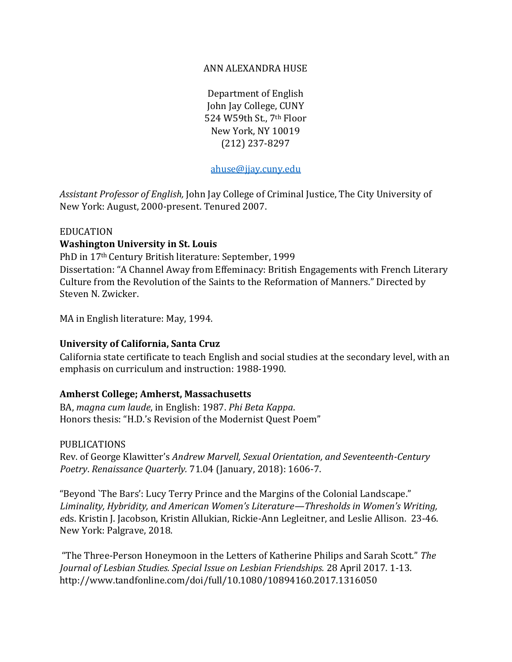### ANN ALEXANDRA HUSE

Department of English John Jay College, CUNY 524 W59th St., 7th Floor New York, NY 10019 (212) 237-8297

ahuse@jjay.cuny.edu

*Assistant Professor of English,* John Jay College of Criminal Justice, The City University of New York: August, 2000-present. Tenured 2007.

#### EDUCATION

### **Washington University in St. Louis**

PhD in 17th Century British literature: September, 1999 Dissertation: "A Channel Away from Effeminacy: British Engagements with French Literary Culture from the Revolution of the Saints to the Reformation of Manners." Directed by Steven N. Zwicker.

MA in English literature: May, 1994.

### **University of California, Santa Cruz**

California state certificate to teach English and social studies at the secondary level, with an emphasis on curriculum and instruction: 1988-1990.

### **Amherst College; Amherst, Massachusetts**

BA, *magna cum laude*, in English: 1987. *Phi Beta Kappa*. Honors thesis: "H.D.'s Revision of the Modernist Quest Poem"

PUBLICATIONS

Rev. of George Klawitter's *Andrew Marvell, Sexual Orientation, and Seventeenth-Century Poetry*. *Renaissance Quarterly.* 71.04 (January, 2018): 1606-7.

"Beyond `The Bars': Lucy Terry Prince and the Margins of the Colonial Landscape." *Liminality, Hybridity, and American Women's Literature—Thresholds in Women's Writing, e*ds. Kristin J. Jacobson, Kristin Allukian, Rickie-Ann Legleitner, and Leslie Allison. 23-46. New York: Palgrave, 2018.

"The Three-Person Honeymoon in the Letters of Katherine Philips and Sarah Scott." *The Journal of Lesbian Studies. Special Issue on Lesbian Friendships.* 28 April 2017. 1-13. http://www.tandfonline.com/doi/full/10.1080/10894160.2017.1316050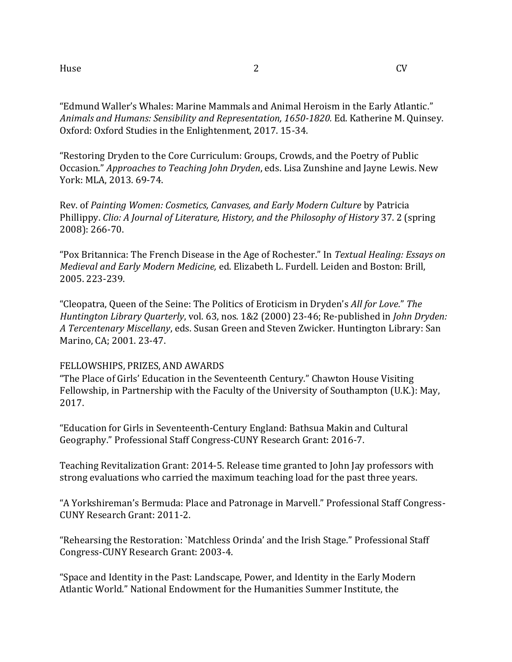"Edmund Waller's Whales: Marine Mammals and Animal Heroism in the Early Atlantic." *Animals and Humans: Sensibility and Representation, 1650-1820.* Ed. Katherine M. Quinsey. Oxford: Oxford Studies in the Enlightenment, 2017. 15-34.

"Restoring Dryden to the Core Curriculum: Groups, Crowds, and the Poetry of Public Occasion." *Approaches to Teaching John Dryden*, eds. Lisa Zunshine and Jayne Lewis. New York: MLA, 2013. 69-74.

Rev. of *Painting Women: Cosmetics, Canvases, and Early Modern Culture* by Patricia Phillippy. *Clio: A Journal of Literature, History, and the Philosophy of History* 37. 2 (spring 2008): 266-70.

"Pox Britannica: The French Disease in the Age of Rochester." In *Textual Healing: Essays on Medieval and Early Modern Medicine,* ed. Elizabeth L. Furdell. Leiden and Boston: Brill, 2005. 223-239.

"Cleopatra, Queen of the Seine: The Politics of Eroticism in Dryden's *All for Love*." *The Huntington Library Quarterly*, vol. 63, nos. 1&2 (2000) 23-46; Re-published in *John Dryden: A Tercentenary Miscellany*, eds. Susan Green and Steven Zwicker. Huntington Library: San Marino, CA; 2001. 23-47.

### FELLOWSHIPS, PRIZES, AND AWARDS

"The Place of Girls' Education in the Seventeenth Century." Chawton House Visiting Fellowship, in Partnership with the Faculty of the University of Southampton (U.K.): May, 2017.

"Education for Girls in Seventeenth-Century England: Bathsua Makin and Cultural Geography." Professional Staff Congress-CUNY Research Grant: 2016-7.

Teaching Revitalization Grant: 2014-5. Release time granted to John Jay professors with strong evaluations who carried the maximum teaching load for the past three years.

"A Yorkshireman's Bermuda: Place and Patronage in Marvell." Professional Staff Congress-CUNY Research Grant: 2011-2.

"Rehearsing the Restoration: `Matchless Orinda' and the Irish Stage." Professional Staff Congress-CUNY Research Grant: 2003-4.

"Space and Identity in the Past: Landscape, Power, and Identity in the Early Modern Atlantic World." National Endowment for the Humanities Summer Institute, the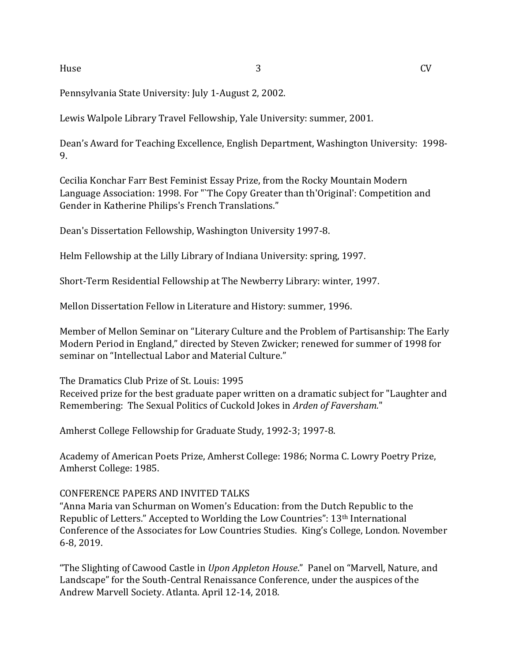Pennsylvania State University: July 1-August 2, 2002.

Lewis Walpole Library Travel Fellowship, Yale University: summer, 2001.

Dean's Award for Teaching Excellence, English Department, Washington University: 1998- 9.

Cecilia Konchar Farr Best Feminist Essay Prize, from the Rocky Mountain Modern Language Association: 1998. For "`The Copy Greater than th'Original': Competition and Gender in Katherine Philips's French Translations."

Dean's Dissertation Fellowship, Washington University 1997-8.

Helm Fellowship at the Lilly Library of Indiana University: spring, 1997.

Short-Term Residential Fellowship at The Newberry Library: winter, 1997.

Mellon Dissertation Fellow in Literature and History: summer, 1996.

Member of Mellon Seminar on "Literary Culture and the Problem of Partisanship: The Early Modern Period in England," directed by Steven Zwicker; renewed for summer of 1998 for seminar on "Intellectual Labor and Material Culture."

The Dramatics Club Prize of St. Louis: 1995

Received prize for the best graduate paper written on a dramatic subject for "Laughter and Remembering: The Sexual Politics of Cuckold Jokes in *Arden of Faversham.*"

Amherst College Fellowship for Graduate Study, 1992-3; 1997-8.

Academy of American Poets Prize, Amherst College: 1986; Norma C. Lowry Poetry Prize, Amherst College: 1985.

### CONFERENCE PAPERS AND INVITED TALKS

"Anna Maria van Schurman on Women's Education: from the Dutch Republic to the Republic of Letters." Accepted to Worlding the Low Countries": 13<sup>th</sup> International Conference of the Associates for Low Countries Studies. King's College, London. November 6-8, 2019.

"The Slighting of Cawood Castle in *Upon Appleton House*." Panel on "Marvell, Nature, and Landscape" for the South-Central Renaissance Conference, under the auspices of the Andrew Marvell Society. Atlanta. April 12-14, 2018.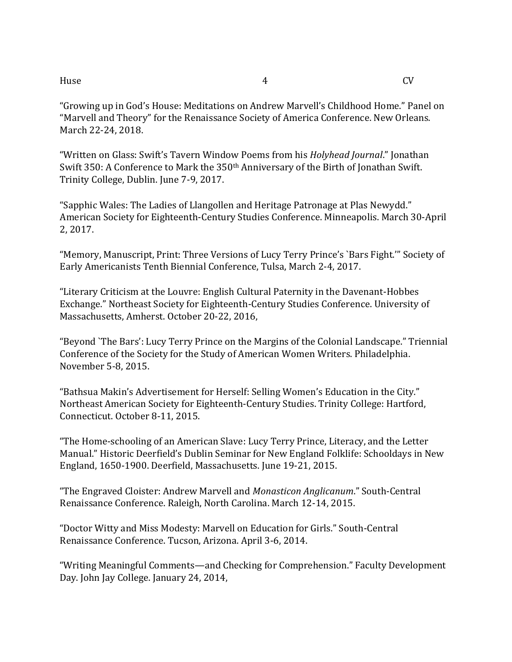"Growing up in God's House: Meditations on Andrew Marvell's Childhood Home." Panel on "Marvell and Theory" for the Renaissance Society of America Conference. New Orleans. March 22-24, 2018.

"Written on Glass: Swift's Tavern Window Poems from his *Holyhead Journal*." Jonathan Swift 350: A Conference to Mark the 350th Anniversary of the Birth of Jonathan Swift. Trinity College, Dublin. June 7-9, 2017.

"Sapphic Wales: The Ladies of Llangollen and Heritage Patronage at Plas Newydd." American Society for Eighteenth-Century Studies Conference. Minneapolis. March 30-April 2, 2017.

"Memory, Manuscript, Print: Three Versions of Lucy Terry Prince's `Bars Fight.'" Society of Early Americanists Tenth Biennial Conference, Tulsa, March 2-4, 2017.

"Literary Criticism at the Louvre: English Cultural Paternity in the Davenant-Hobbes Exchange." Northeast Society for Eighteenth-Century Studies Conference. University of Massachusetts, Amherst. October 20-22, 2016,

"Beyond `The Bars': Lucy Terry Prince on the Margins of the Colonial Landscape." Triennial Conference of the Society for the Study of American Women Writers. Philadelphia. November 5-8, 2015.

"Bathsua Makin's Advertisement for Herself: Selling Women's Education in the City." Northeast American Society for Eighteenth-Century Studies. Trinity College: Hartford, Connecticut. October 8-11, 2015.

"The Home-schooling of an American Slave: Lucy Terry Prince, Literacy, and the Letter Manual." Historic Deerfield's Dublin Seminar for New England Folklife: Schooldays in New England, 1650-1900. Deerfield, Massachusetts. June 19-21, 2015.

"The Engraved Cloister: Andrew Marvell and *Monasticon Anglicanum*." South-Central Renaissance Conference. Raleigh, North Carolina. March 12-14, 2015.

"Doctor Witty and Miss Modesty: Marvell on Education for Girls." South-Central Renaissance Conference. Tucson, Arizona. April 3-6, 2014.

"Writing Meaningful Comments—and Checking for Comprehension." Faculty Development Day. John Jay College. January 24, 2014,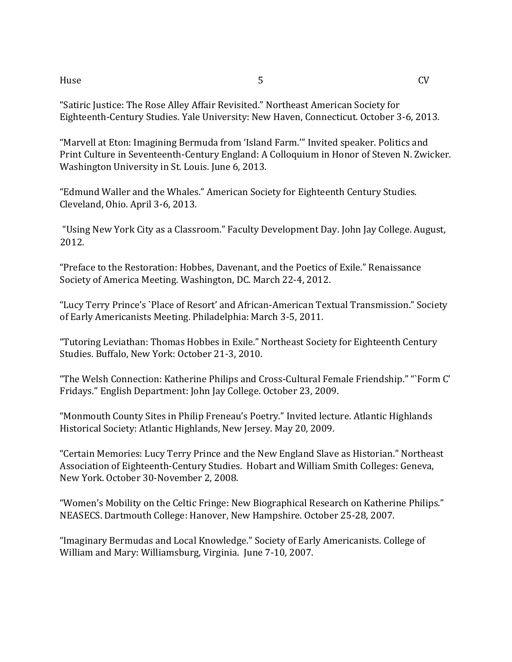"Satiric Justice: The Rose Alley Affair Revisited." Northeast American Society for Eighteenth-Century Studies. Yale University: New Haven, Connecticut. October 3-6, 2013.

"Marvell at Eton: Imagining Bermuda from 'Island Farm.'" Invited speaker. Politics and Print Culture in Seventeenth-Century England: A Colloquium in Honor of Steven N. Zwicker. Washington University in St. Louis. June 6, 2013.

"Edmund Waller and the Whales." American Society for Eighteenth Century Studies. Cleveland, Ohio. April 3-6, 2013.

"Using New York City as a Classroom." Faculty Development Day. John Jay College. August, 2012.

"Preface to the Restoration: Hobbes, Davenant, and the Poetics of Exile." Renaissance Society of America Meeting. Washington, DC. March 22-4, 2012.

"Lucy Terry Prince's `Place of Resort' and African-American Textual Transmission." Society of Early Americanists Meeting. Philadelphia: March 3-5, 2011.

"Tutoring Leviathan: Thomas Hobbes in Exile." Northeast Society for Eighteenth Century Studies. Buffalo, New York: October 21-3, 2010.

"The Welsh Connection: Katherine Philips and Cross-Cultural Female Friendship." "`Form C' Fridays." English Department: John Jay College. October 23, 2009.

"Monmouth County Sites in Philip Freneau's Poetry." Invited lecture. Atlantic Highlands Historical Society: Atlantic Highlands, New Jersey. May 20, 2009.

"Certain Memories: Lucy Terry Prince and the New England Slave as Historian." Northeast Association of Eighteenth-Century Studies. Hobart and William Smith Colleges: Geneva, New York. October 30-November 2, 2008.

"Women's Mobility on the Celtic Fringe: New Biographical Research on Katherine Philips." NEASECS. Dartmouth College: Hanover, New Hampshire. October 25-28, 2007.

"Imaginary Bermudas and Local Knowledge." Society of Early Americanists. College of William and Mary: Williamsburg, Virginia. June 7-10, 2007.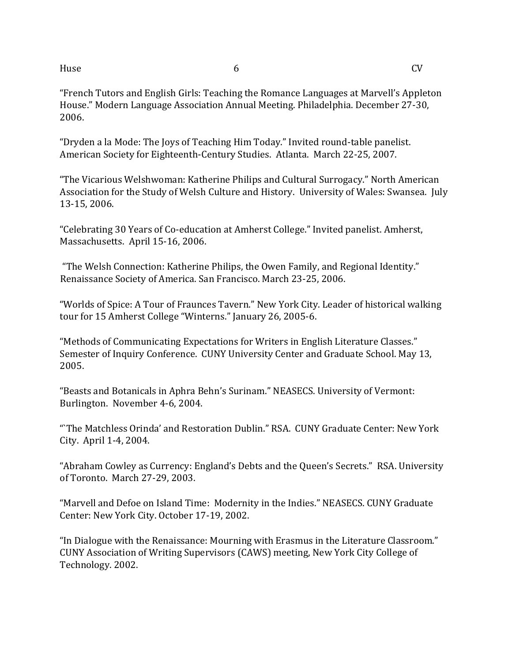"French Tutors and English Girls: Teaching the Romance Languages at Marvell's Appleton House." Modern Language Association Annual Meeting. Philadelphia. December 27-30, 2006.

"Dryden a la Mode: The Joys of Teaching Him Today." Invited round-table panelist. American Society for Eighteenth-Century Studies. Atlanta. March 22-25, 2007.

"The Vicarious Welshwoman: Katherine Philips and Cultural Surrogacy." North American Association for the Study of Welsh Culture and History. University of Wales: Swansea. July 13-15, 2006.

"Celebrating 30 Years of Co-education at Amherst College." Invited panelist. Amherst, Massachusetts. April 15-16, 2006.

"The Welsh Connection: Katherine Philips, the Owen Family, and Regional Identity." Renaissance Society of America. San Francisco. March 23-25, 2006.

"Worlds of Spice: A Tour of Fraunces Tavern." New York City. Leader of historical walking tour for 15 Amherst College "Winterns." January 26, 2005-6.

"Methods of Communicating Expectations for Writers in English Literature Classes." Semester of Inquiry Conference. CUNY University Center and Graduate School. May 13, 2005.

"Beasts and Botanicals in Aphra Behn's Surinam." NEASECS. University of Vermont: Burlington. November 4-6, 2004.

"`The Matchless Orinda' and Restoration Dublin." RSA. CUNY Graduate Center: New York City. April 1-4, 2004.

"Abraham Cowley as Currency: England's Debts and the Queen's Secrets." RSA. University of Toronto. March 27-29, 2003.

"Marvell and Defoe on Island Time: Modernity in the Indies." NEASECS. CUNY Graduate Center: New York City. October 17-19, 2002.

"In Dialogue with the Renaissance: Mourning with Erasmus in the Literature Classroom." CUNY Association of Writing Supervisors (CAWS) meeting, New York City College of Technology. 2002.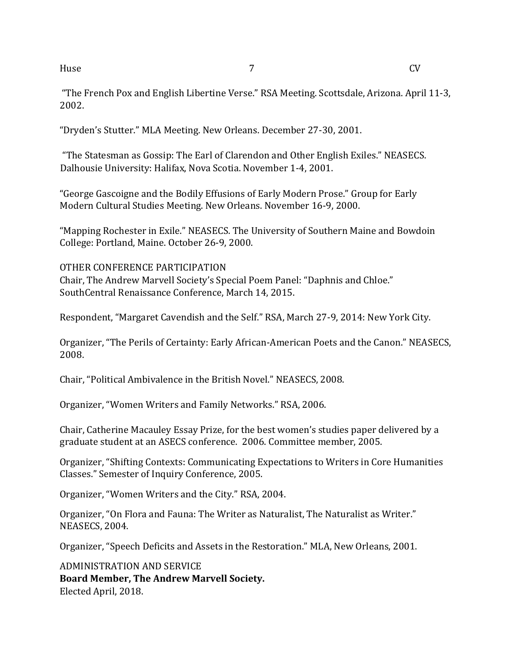"The French Pox and English Libertine Verse." RSA Meeting. Scottsdale, Arizona. April 11-3, 2002.

"Dryden's Stutter." MLA Meeting. New Orleans. December 27-30, 2001.

"The Statesman as Gossip: The Earl of Clarendon and Other English Exiles." NEASECS. Dalhousie University: Halifax, Nova Scotia. November 1-4, 2001.

"George Gascoigne and the Bodily Effusions of Early Modern Prose." Group for Early Modern Cultural Studies Meeting. New Orleans. November 16-9, 2000.

"Mapping Rochester in Exile." NEASECS. The University of Southern Maine and Bowdoin College: Portland, Maine. October 26-9, 2000.

OTHER CONFERENCE PARTICIPATION Chair, The Andrew Marvell Society's Special Poem Panel: "Daphnis and Chloe." SouthCentral Renaissance Conference, March 14, 2015.

Respondent, "Margaret Cavendish and the Self." RSA, March 27-9, 2014: New York City.

Organizer, "The Perils of Certainty: Early African-American Poets and the Canon." NEASECS, 2008.

Chair, "Political Ambivalence in the British Novel." NEASECS, 2008.

Organizer, "Women Writers and Family Networks." RSA, 2006.

Chair, Catherine Macauley Essay Prize, for the best women's studies paper delivered by a graduate student at an ASECS conference. 2006. Committee member, 2005.

Organizer, "Shifting Contexts: Communicating Expectations to Writers in Core Humanities Classes." Semester of Inquiry Conference, 2005.

Organizer, "Women Writers and the City." RSA, 2004.

Organizer, "On Flora and Fauna: The Writer as Naturalist, The Naturalist as Writer." NEASECS, 2004.

Organizer, "Speech Deficits and Assets in the Restoration." MLA, New Orleans, 2001.

ADMINISTRATION AND SERVICE **Board Member, The Andrew Marvell Society.** Elected April, 2018.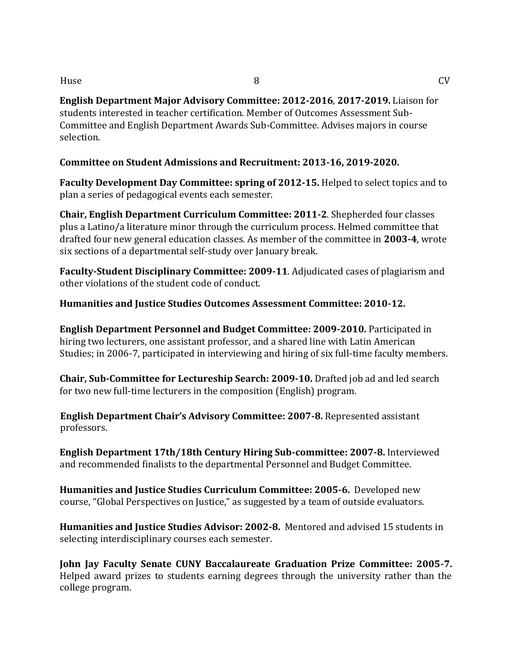**English Department Major Advisory Committee: 2012-2016**, **2017-2019.** Liaison for students interested in teacher certification. Member of Outcomes Assessment Sub-Committee and English Department Awards Sub-Committee. Advises majors in course selection.

**Committee on Student Admissions and Recruitment: 2013-16, 2019-2020.**

**Faculty Development Day Committee: spring of 2012-15.** Helped to select topics and to plan a series of pedagogical events each semester.

**Chair, English Department Curriculum Committee: 2011-2**. Shepherded four classes plus a Latino/a literature minor through the curriculum process. Helmed committee that drafted four new general education classes. As member of the committee in **2003-4**, wrote six sections of a departmental self-study over January break.

**Faculty-Student Disciplinary Committee: 2009-11**. Adjudicated cases of plagiarism and other violations of the student code of conduct.

**Humanities and Justice Studies Outcomes Assessment Committee: 2010-12.** 

**English Department Personnel and Budget Committee: 2009-2010.** Participated in hiring two lecturers, one assistant professor, and a shared line with Latin American Studies; in 2006-7, participated in interviewing and hiring of six full-time faculty members.

**Chair, Sub-Committee for Lectureship Search: 2009-10.** Drafted job ad and led search for two new full-time lecturers in the composition (English) program.

**English Department Chair's Advisory Committee: 2007-8.** Represented assistant professors.

**English Department 17th/18th Century Hiring Sub-committee: 2007-8.** Interviewed and recommended finalists to the departmental Personnel and Budget Committee.

**Humanities and Justice Studies Curriculum Committee: 2005-6.** Developed new course, "Global Perspectives on Justice," as suggested by a team of outside evaluators.

**Humanities and Justice Studies Advisor: 2002-8.** Mentored and advised 15 students in selecting interdisciplinary courses each semester.

**John Jay Faculty Senate CUNY Baccalaureate Graduation Prize Committee: 2005-7.**  Helped award prizes to students earning degrees through the university rather than the college program.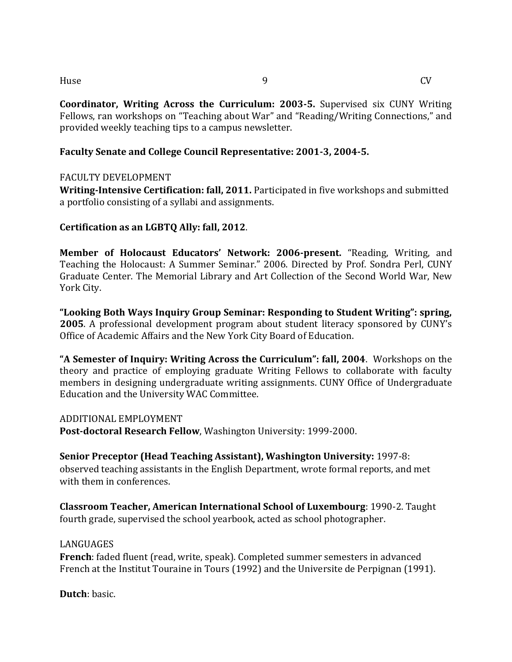**Coordinator, Writing Across the Curriculum: 2003-5.** Supervised six CUNY Writing Fellows, ran workshops on "Teaching about War" and "Reading/Writing Connections," and provided weekly teaching tips to a campus newsletter.

## **Faculty Senate and College Council Representative: 2001-3, 2004-5.**

### FACULTY DEVELOPMENT

**Writing-Intensive Certification: fall, 2011.** Participated in five workshops and submitted a portfolio consisting of a syllabi and assignments.

### **Certification as an LGBTQ Ally: fall, 2012**.

**Member of Holocaust Educators' Network: 2006-present.** "Reading, Writing, and Teaching the Holocaust: A Summer Seminar." 2006. Directed by Prof. Sondra Perl, CUNY Graduate Center. The Memorial Library and Art Collection of the Second World War, New York City.

**"Looking Both Ways Inquiry Group Seminar: Responding to Student Writing": spring, 2005**. A professional development program about student literacy sponsored by CUNY's Office of Academic Affairs and the New York City Board of Education.

**"A Semester of Inquiry: Writing Across the Curriculum": fall, 2004**. Workshops on the theory and practice of employing graduate Writing Fellows to collaborate with faculty members in designing undergraduate writing assignments. CUNY Office of Undergraduate Education and the University WAC Committee.

### ADDITIONAL EMPLOYMENT

**Post-doctoral Research Fellow**, Washington University: 1999-2000.

**Senior Preceptor (Head Teaching Assistant), Washington University:** 1997-8: observed teaching assistants in the English Department, wrote formal reports, and met with them in conferences.

**Classroom Teacher, American International School of Luxembourg**: 1990-2. Taught fourth grade, supervised the school yearbook, acted as school photographer.

### **LANGUAGES**

**French**: faded fluent (read, write, speak). Completed summer semesters in advanced French at the Institut Touraine in Tours (1992) and the Universite de Perpignan (1991).

**Dutch**: basic.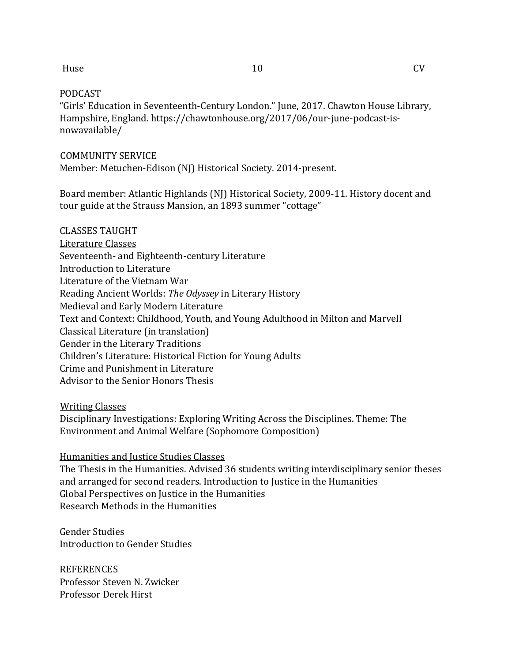#### PODCAST

"Girls' Education in Seventeenth-Century London." June, 2017. Chawton House Library, Hampshire, England. https://chawtonhouse.org/2017/06/our-june-podcast-isnowavailable/

### COMMUNITY SERVICE

Member: Metuchen-Edison (NJ) Historical Society. 2014-present.

Board member: Atlantic Highlands (NJ) Historical Society, 2009-11. History docent and tour guide at the Strauss Mansion, an 1893 summer "cottage"

# CLASSES TAUGHT Literature Classes Seventeenth- and Eighteenth-century Literature Introduction to Literature Literature of the Vietnam War Reading Ancient Worlds: *The Odyssey* in Literary History Medieval and Early Modern Literature Text and Context: Childhood, Youth, and Young Adulthood in Milton and Marvell Classical Literature (in translation) Gender in the Literary Traditions Children's Literature: Historical Fiction for Young Adults Crime and Punishment in Literature Advisor to the Senior Honors Thesis

### Writing Classes

Disciplinary Investigations: Exploring Writing Across the Disciplines. Theme: The Environment and Animal Welfare (Sophomore Composition)

### Humanities and Justice Studies Classes

The Thesis in the Humanities. Advised 36 students writing interdisciplinary senior theses and arranged for second readers. Introduction to Justice in the Humanities Global Perspectives on Justice in the Humanities Research Methods in the Humanities

# Gender Studies Introduction to Gender Studies

REFERENCES Professor Steven N. Zwicker Professor Derek Hirst